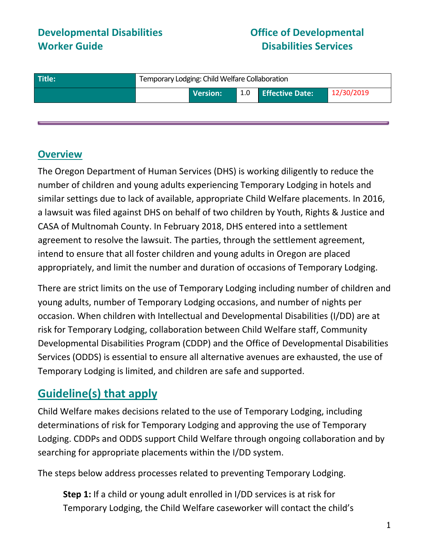## **Developmental Disabilities Worker Guide**

## **Office of Developmental Disabilities Services**

| Title: | Temporary Lodging: Child Welfare Collaboration |                 |  |                     |            |
|--------|------------------------------------------------|-----------------|--|---------------------|------------|
|        |                                                | <b>Version:</b> |  | 1.0 Effective Date: | 12/30/2019 |
|        |                                                |                 |  |                     |            |

### **Overview**

The Oregon Department of Human Services (DHS) is working diligently to reduce the number of children and young adults experiencing Temporary Lodging in hotels and similar settings due to lack of available, appropriate Child Welfare placements. In 2016, a lawsuit was filed against DHS on behalf of two children by Youth, Rights & Justice and CASA of Multnomah County. In February 2018, DHS entered into a settlement agreement to resolve the lawsuit. The parties, through the settlement agreement, intend to ensure that all foster children and young adults in Oregon are placed appropriately, and limit the number and duration of occasions of Temporary Lodging.

There are strict limits on the use of Temporary Lodging including number of children and young adults, number of Temporary Lodging occasions, and number of nights per occasion. When children with Intellectual and Developmental Disabilities (I/DD) are at risk for Temporary Lodging, collaboration between Child Welfare staff, Community Developmental Disabilities Program (CDDP) and the Office of Developmental Disabilities Services (ODDS) is essential to ensure all alternative avenues are exhausted, the use of Temporary Lodging is limited, and children are safe and supported.

# **Guideline(s) that apply**

Child Welfare makes decisions related to the use of Temporary Lodging, including determinations of risk for Temporary Lodging and approving the use of Temporary Lodging. CDDPs and ODDS support Child Welfare through ongoing collaboration and by searching for appropriate placements within the I/DD system.

The steps below address processes related to preventing Temporary Lodging.

**Step 1:** If a child or young adult enrolled in I/DD services is at risk for Temporary Lodging, the Child Welfare caseworker will contact the child's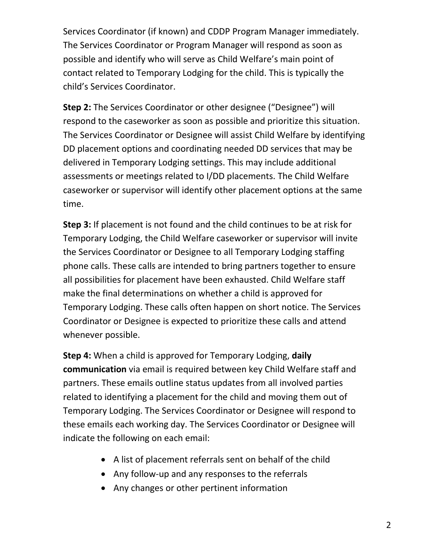Services Coordinator (if known) and CDDP Program Manager immediately. The Services Coordinator or Program Manager will respond as soon as possible and identify who will serve as Child Welfare's main point of contact related to Temporary Lodging for the child. This is typically the child's Services Coordinator.

**Step 2:** The Services Coordinator or other designee ("Designee") will respond to the caseworker as soon as possible and prioritize this situation. The Services Coordinator or Designee will assist Child Welfare by identifying DD placement options and coordinating needed DD services that may be delivered in Temporary Lodging settings. This may include additional assessments or meetings related to I/DD placements. The Child Welfare caseworker or supervisor will identify other placement options at the same time.

**Step 3:** If placement is not found and the child continues to be at risk for Temporary Lodging, the Child Welfare caseworker or supervisor will invite the Services Coordinator or Designee to all Temporary Lodging staffing phone calls. These calls are intended to bring partners together to ensure all possibilities for placement have been exhausted. Child Welfare staff make the final determinations on whether a child is approved for Temporary Lodging. These calls often happen on short notice. The Services Coordinator or Designee is expected to prioritize these calls and attend whenever possible.

**Step 4:** When a child is approved for Temporary Lodging, **daily communication** via email is required between key Child Welfare staff and partners. These emails outline status updates from all involved parties related to identifying a placement for the child and moving them out of Temporary Lodging. The Services Coordinator or Designee will respond to these emails each working day. The Services Coordinator or Designee will indicate the following on each email:

- A list of placement referrals sent on behalf of the child
- Any follow-up and any responses to the referrals
- Any changes or other pertinent information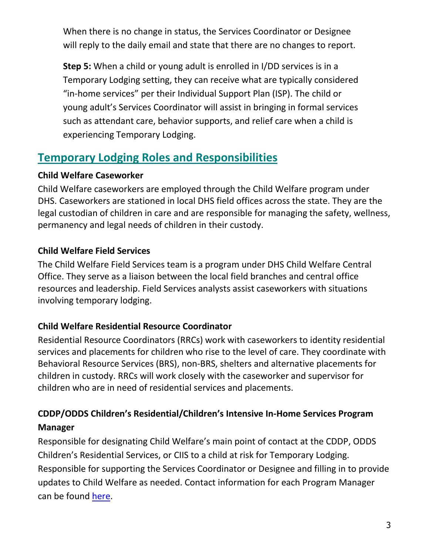When there is no change in status, the Services Coordinator or Designee will reply to the daily email and state that there are no changes to report.

**Step 5:** When a child or young adult is enrolled in I/DD services is in a Temporary Lodging setting, they can receive what are typically considered "in-home services" per their Individual Support Plan (ISP). The child or young adult's Services Coordinator will assist in bringing in formal services such as attendant care, behavior supports, and relief care when a child is experiencing Temporary Lodging.

# **Temporary Lodging Roles and Responsibilities**

#### **Child Welfare Caseworker**

Child Welfare caseworkers are employed through the Child Welfare program under DHS. Caseworkers are stationed in local DHS field offices across the state. They are the legal custodian of children in care and are responsible for managing the safety, wellness, permanency and legal needs of children in their custody.

### **Child Welfare Field Services**

The Child Welfare Field Services team is a program under DHS Child Welfare Central Office. They serve as a liaison between the local field branches and central office resources and leadership. Field Services analysts assist caseworkers with situations involving temporary lodging.

### **Child Welfare Residential Resource Coordinator**

Residential Resource Coordinators (RRCs) work with caseworkers to identity residential services and placements for children who rise to the level of care. They coordinate with Behavioral Resource Services (BRS), non-BRS, shelters and alternative placements for children in custody. RRCs will work closely with the caseworker and supervisor for children who are in need of residential services and placements.

## **CDDP/ODDS Children's Residential/Children's Intensive In-Home Services Program Manager**

Responsible for designating Child Welfare's main point of contact at the CDDP, ODDS Children's Residential Services, or CIIS to a child at risk for Temporary Lodging. Responsible for supporting the Services Coordinator or Designee and filling in to provide updates to Child Welfare as needed. Contact information for each Program Manager can be found [here.](https://www.dhs.state.or.us/spd/tools/dd/DD-County-Directory.pdf)